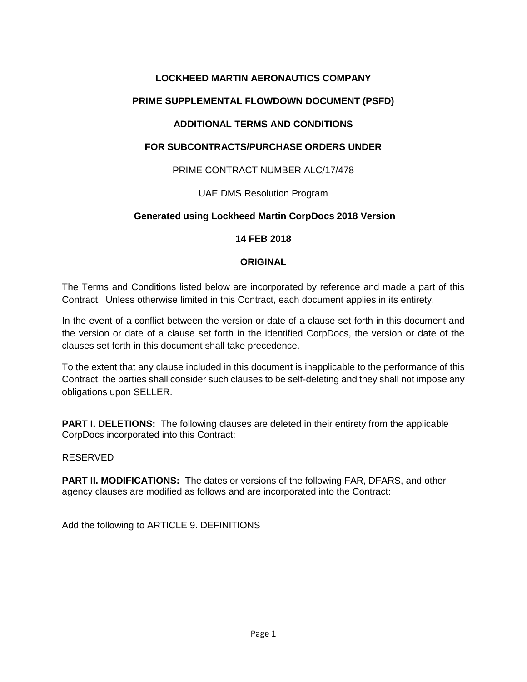## **LOCKHEED MARTIN AERONAUTICS COMPANY**

## **PRIME SUPPLEMENTAL FLOWDOWN DOCUMENT (PSFD)**

## **ADDITIONAL TERMS AND CONDITIONS**

### **FOR SUBCONTRACTS/PURCHASE ORDERS UNDER**

### PRIME CONTRACT NUMBER ALC/17/478

### UAE DMS Resolution Program

## **Generated using Lockheed Martin CorpDocs 2018 Version**

### **14 FEB 2018**

### **ORIGINAL**

The Terms and Conditions listed below are incorporated by reference and made a part of this Contract. Unless otherwise limited in this Contract, each document applies in its entirety.

In the event of a conflict between the version or date of a clause set forth in this document and the version or date of a clause set forth in the identified CorpDocs, the version or date of the clauses set forth in this document shall take precedence.

To the extent that any clause included in this document is inapplicable to the performance of this Contract, the parties shall consider such clauses to be self-deleting and they shall not impose any obligations upon SELLER.

**PART I. DELETIONS:** The following clauses are deleted in their entirety from the applicable CorpDocs incorporated into this Contract:

#### RESERVED

**PART II. MODIFICATIONS:** The dates or versions of the following FAR, DFARS, and other agency clauses are modified as follows and are incorporated into the Contract:

Add the following to ARTICLE 9. DEFINITIONS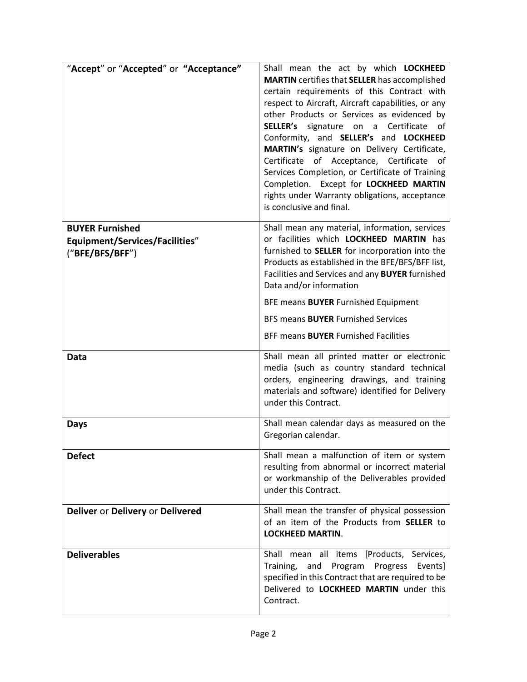| "Accept" or "Accepted" or "Acceptance"                                             | Shall mean the act by which LOCKHEED<br><b>MARTIN</b> certifies that <b>SELLER</b> has accomplished<br>certain requirements of this Contract with<br>respect to Aircraft, Aircraft capabilities, or any<br>other Products or Services as evidenced by<br>SELLER's signature on a Certificate<br>οf<br>Conformity, and SELLER's and LOCKHEED<br>MARTIN's signature on Delivery Certificate,<br>Certificate of Acceptance, Certificate of<br>Services Completion, or Certificate of Training<br>Completion. Except for LOCKHEED MARTIN<br>rights under Warranty obligations, acceptance<br>is conclusive and final. |
|------------------------------------------------------------------------------------|-------------------------------------------------------------------------------------------------------------------------------------------------------------------------------------------------------------------------------------------------------------------------------------------------------------------------------------------------------------------------------------------------------------------------------------------------------------------------------------------------------------------------------------------------------------------------------------------------------------------|
| <b>BUYER Furnished</b><br><b>Equipment/Services/Facilities"</b><br>("BFE/BFS/BFF") | Shall mean any material, information, services<br>or facilities which LOCKHEED MARTIN has<br>furnished to SELLER for incorporation into the<br>Products as established in the BFE/BFS/BFF list,<br>Facilities and Services and any BUYER furnished<br>Data and/or information<br>BFE means <b>BUYER</b> Furnished Equipment<br><b>BFS means BUYER Furnished Services</b><br><b>BFF means BUYER Furnished Facilities</b>                                                                                                                                                                                           |
| Data                                                                               | Shall mean all printed matter or electronic<br>media (such as country standard technical<br>orders, engineering drawings, and training<br>materials and software) identified for Delivery<br>under this Contract.                                                                                                                                                                                                                                                                                                                                                                                                 |
| <b>Days</b>                                                                        | Shall mean calendar days as measured on the<br>Gregorian calendar.                                                                                                                                                                                                                                                                                                                                                                                                                                                                                                                                                |
| <b>Defect</b>                                                                      | Shall mean a malfunction of item or system<br>resulting from abnormal or incorrect material<br>or workmanship of the Deliverables provided<br>under this Contract.                                                                                                                                                                                                                                                                                                                                                                                                                                                |
| Deliver or Delivery or Delivered                                                   | Shall mean the transfer of physical possession<br>of an item of the Products from <b>SELLER</b> to<br><b>LOCKHEED MARTIN.</b>                                                                                                                                                                                                                                                                                                                                                                                                                                                                                     |
| <b>Deliverables</b>                                                                | Shall mean all items [Products, Services,<br>Progress<br>Training,<br>and<br>Program<br>Events]<br>specified in this Contract that are required to be<br>Delivered to LOCKHEED MARTIN under this<br>Contract.                                                                                                                                                                                                                                                                                                                                                                                                     |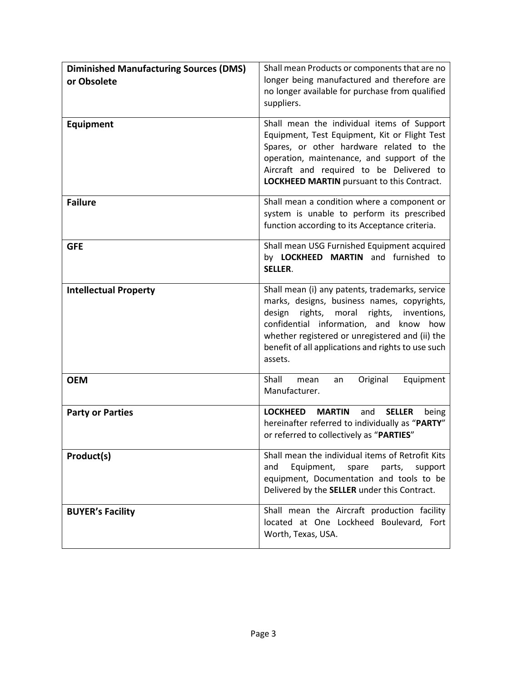| <b>Diminished Manufacturing Sources (DMS)</b><br>or Obsolete | Shall mean Products or components that are no<br>longer being manufactured and therefore are<br>no longer available for purchase from qualified<br>suppliers.                                                                                                                                                     |
|--------------------------------------------------------------|-------------------------------------------------------------------------------------------------------------------------------------------------------------------------------------------------------------------------------------------------------------------------------------------------------------------|
| <b>Equipment</b>                                             | Shall mean the individual items of Support<br>Equipment, Test Equipment, Kit or Flight Test<br>Spares, or other hardware related to the<br>operation, maintenance, and support of the<br>Aircraft and required to be Delivered to<br>LOCKHEED MARTIN pursuant to this Contract.                                   |
| <b>Failure</b>                                               | Shall mean a condition where a component or<br>system is unable to perform its prescribed<br>function according to its Acceptance criteria.                                                                                                                                                                       |
| <b>GFE</b>                                                   | Shall mean USG Furnished Equipment acquired<br><b>MARTIN</b> and furnished to<br>by LOCKHEED<br><b>SELLER.</b>                                                                                                                                                                                                    |
| <b>Intellectual Property</b>                                 | Shall mean (i) any patents, trademarks, service<br>marks, designs, business names, copyrights,<br>rights, moral<br>design<br>rights,<br>inventions,<br>confidential information, and know how<br>whether registered or unregistered and (ii) the<br>benefit of all applications and rights to use such<br>assets. |
| <b>OEM</b>                                                   | Shall<br>Original<br>Equipment<br>mean<br>an<br>Manufacturer.                                                                                                                                                                                                                                                     |
| <b>Party or Parties</b>                                      | <b>LOCKHEED</b><br><b>MARTIN</b><br><b>SELLER</b><br>and<br>being<br>hereinafter referred to individually as "PARTY"<br>or referred to collectively as "PARTIES"                                                                                                                                                  |
| Product(s)                                                   | Shall mean the individual items of Retrofit Kits<br>and<br>Equipment,<br>parts,<br>spare<br>support<br>equipment, Documentation and tools to be<br>Delivered by the SELLER under this Contract.                                                                                                                   |
| <b>BUYER's Facility</b>                                      | Shall mean the Aircraft production facility<br>located at One Lockheed Boulevard, Fort<br>Worth, Texas, USA.                                                                                                                                                                                                      |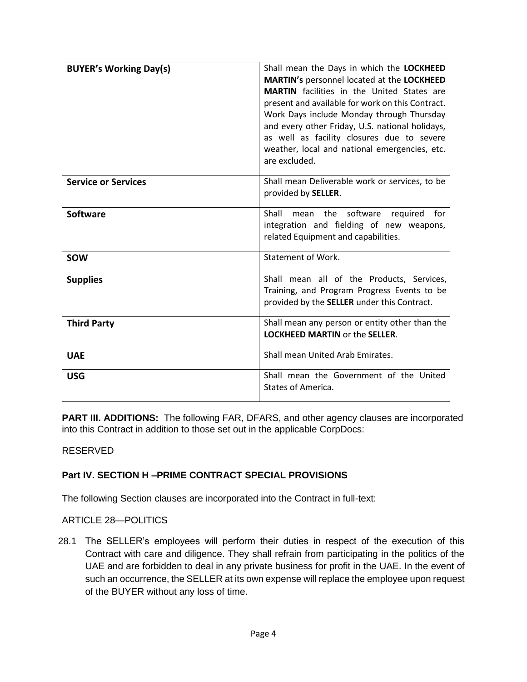| <b>BUYER's Working Day(s)</b> | Shall mean the Days in which the LOCKHEED<br>MARTIN's personnel located at the LOCKHEED<br><b>MARTIN</b> facilities in the United States are<br>present and available for work on this Contract.<br>Work Days include Monday through Thursday<br>and every other Friday, U.S. national holidays,<br>as well as facility closures due to severe<br>weather, local and national emergencies, etc.<br>are excluded. |
|-------------------------------|------------------------------------------------------------------------------------------------------------------------------------------------------------------------------------------------------------------------------------------------------------------------------------------------------------------------------------------------------------------------------------------------------------------|
| <b>Service or Services</b>    | Shall mean Deliverable work or services, to be<br>provided by SELLER.                                                                                                                                                                                                                                                                                                                                            |
| <b>Software</b>               | Shall<br>the<br>software<br>required<br>for<br>mean<br>integration and fielding of new weapons,<br>related Equipment and capabilities.                                                                                                                                                                                                                                                                           |
| <b>SOW</b>                    | <b>Statement of Work.</b>                                                                                                                                                                                                                                                                                                                                                                                        |
| <b>Supplies</b>               | Shall mean all of the Products, Services,<br>Training, and Program Progress Events to be<br>provided by the SELLER under this Contract.                                                                                                                                                                                                                                                                          |
| <b>Third Party</b>            | Shall mean any person or entity other than the<br><b>LOCKHEED MARTIN or the SELLER.</b>                                                                                                                                                                                                                                                                                                                          |
| <b>UAE</b>                    | Shall mean United Arab Emirates.                                                                                                                                                                                                                                                                                                                                                                                 |
| <b>USG</b>                    | Shall mean the Government of the United<br>States of America.                                                                                                                                                                                                                                                                                                                                                    |

**PART III. ADDITIONS:** The following FAR, DFARS, and other agency clauses are incorporated into this Contract in addition to those set out in the applicable CorpDocs:

## RESERVED

# **Part IV. SECTION H –PRIME CONTRACT SPECIAL PROVISIONS**

The following Section clauses are incorporated into the Contract in full-text:

## ARTICLE 28—POLITICS

28.1 The SELLER's employees will perform their duties in respect of the execution of this Contract with care and diligence. They shall refrain from participating in the politics of the UAE and are forbidden to deal in any private business for profit in the UAE. In the event of such an occurrence, the SELLER at its own expense will replace the employee upon request of the BUYER without any loss of time.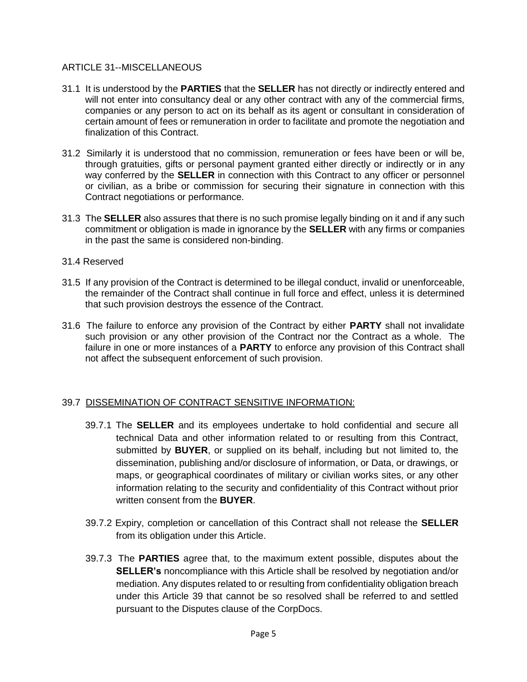### ARTICLE 31--MISCELLANEOUS

- 31.1 It is understood by the **PARTIES** that the **SELLER** has not directly or indirectly entered and will not enter into consultancy deal or any other contract with any of the commercial firms, companies or any person to act on its behalf as its agent or consultant in consideration of certain amount of fees or remuneration in order to facilitate and promote the negotiation and finalization of this Contract.
- 31.2 Similarly it is understood that no commission, remuneration or fees have been or will be, through gratuities, gifts or personal payment granted either directly or indirectly or in any way conferred by the **SELLER** in connection with this Contract to any officer or personnel or civilian, as a bribe or commission for securing their signature in connection with this Contract negotiations or performance.
- 31.3 The **SELLER** also assures that there is no such promise legally binding on it and if any such commitment or obligation is made in ignorance by the **SELLER** with any firms or companies in the past the same is considered non-binding.

#### 31.4 Reserved

- 31.5 If any provision of the Contract is determined to be illegal conduct, invalid or unenforceable, the remainder of the Contract shall continue in full force and effect, unless it is determined that such provision destroys the essence of the Contract.
- 31.6 The failure to enforce any provision of the Contract by either **PARTY** shall not invalidate such provision or any other provision of the Contract nor the Contract as a whole. The failure in one or more instances of a **PARTY** to enforce any provision of this Contract shall not affect the subsequent enforcement of such provision.

#### 39.7 DISSEMINATION OF CONTRACT SENSITIVE INFORMATION:

- 39.7.1 The **SELLER** and its employees undertake to hold confidential and secure all technical Data and other information related to or resulting from this Contract, submitted by **BUYER**, or supplied on its behalf, including but not limited to, the dissemination, publishing and/or disclosure of information, or Data, or drawings, or maps, or geographical coordinates of military or civilian works sites, or any other information relating to the security and confidentiality of this Contract without prior written consent from the **BUYER**.
- 39.7.2 Expiry, completion or cancellation of this Contract shall not release the **SELLER** from its obligation under this Article.
- 39.7.3 The **PARTIES** agree that, to the maximum extent possible, disputes about the **SELLER's** noncompliance with this Article shall be resolved by negotiation and/or mediation. Any disputes related to or resulting from confidentiality obligation breach under this Article 39 that cannot be so resolved shall be referred to and settled pursuant to the Disputes clause of the CorpDocs.